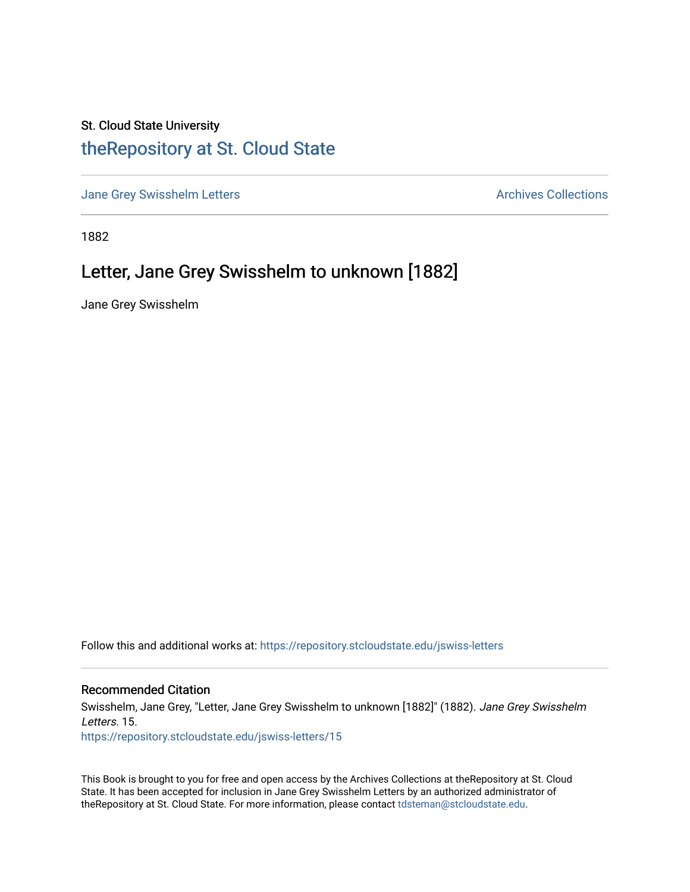## St. Cloud State University [theRepository at St. Cloud State](https://repository.stcloudstate.edu/)

[Jane Grey Swisshelm Letters](https://repository.stcloudstate.edu/jswiss-letters) **Archives Collections** Archives Collections

1882

## Letter, Jane Grey Swisshelm to unknown [1882]

Jane Grey Swisshelm

Follow this and additional works at: [https://repository.stcloudstate.edu/jswiss-letters](https://repository.stcloudstate.edu/jswiss-letters?utm_source=repository.stcloudstate.edu%2Fjswiss-letters%2F15&utm_medium=PDF&utm_campaign=PDFCoverPages) 

## Recommended Citation

Swisshelm, Jane Grey, "Letter, Jane Grey Swisshelm to unknown [1882]" (1882). Jane Grey Swisshelm Letters. 15.

[https://repository.stcloudstate.edu/jswiss-letters/15](https://repository.stcloudstate.edu/jswiss-letters/15?utm_source=repository.stcloudstate.edu%2Fjswiss-letters%2F15&utm_medium=PDF&utm_campaign=PDFCoverPages) 

This Book is brought to you for free and open access by the Archives Collections at theRepository at St. Cloud State. It has been accepted for inclusion in Jane Grey Swisshelm Letters by an authorized administrator of theRepository at St. Cloud State. For more information, please contact [tdsteman@stcloudstate.edu](mailto:tdsteman@stcloudstate.edu).